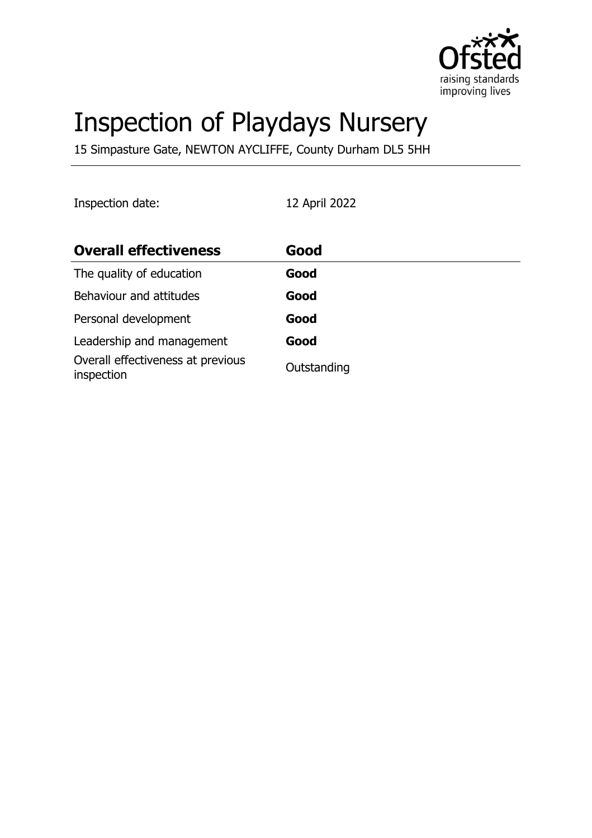

# Inspection of Playdays Nursery

15 Simpasture Gate, NEWTON AYCLIFFE, County Durham DL5 5HH

Inspection date: 12 April 2022

| <b>Overall effectiveness</b>                    | Good        |
|-------------------------------------------------|-------------|
| The quality of education                        | Good        |
| Behaviour and attitudes                         | Good        |
| Personal development                            | Good        |
| Leadership and management                       | Good        |
| Overall effectiveness at previous<br>inspection | Outstanding |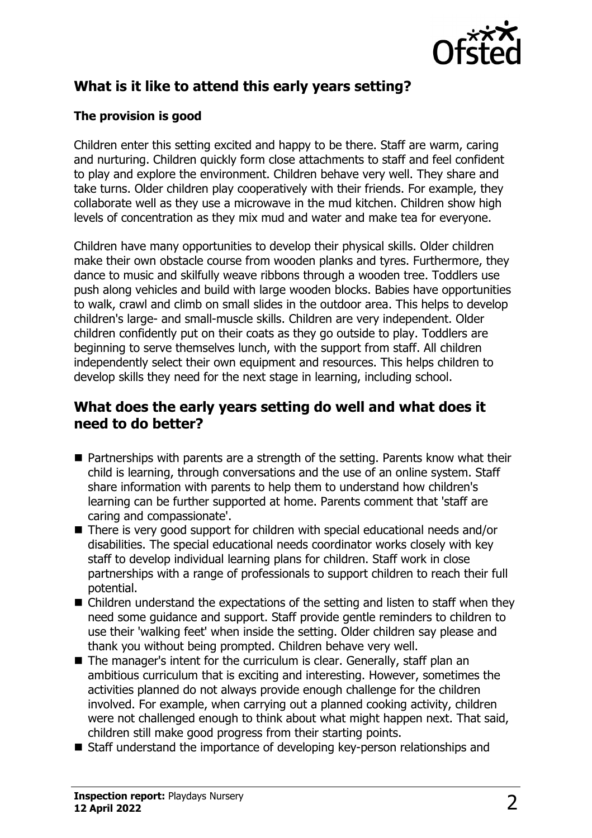

# **What is it like to attend this early years setting?**

## **The provision is good**

Children enter this setting excited and happy to be there. Staff are warm, caring and nurturing. Children quickly form close attachments to staff and feel confident to play and explore the environment. Children behave very well. They share and take turns. Older children play cooperatively with their friends. For example, they collaborate well as they use a microwave in the mud kitchen. Children show high levels of concentration as they mix mud and water and make tea for everyone.

Children have many opportunities to develop their physical skills. Older children make their own obstacle course from wooden planks and tyres. Furthermore, they dance to music and skilfully weave ribbons through a wooden tree. Toddlers use push along vehicles and build with large wooden blocks. Babies have opportunities to walk, crawl and climb on small slides in the outdoor area. This helps to develop children's large- and small-muscle skills. Children are very independent. Older children confidently put on their coats as they go outside to play. Toddlers are beginning to serve themselves lunch, with the support from staff. All children independently select their own equipment and resources. This helps children to develop skills they need for the next stage in learning, including school.

## **What does the early years setting do well and what does it need to do better?**

- $\blacksquare$  Partnerships with parents are a strength of the setting. Parents know what their child is learning, through conversations and the use of an online system. Staff share information with parents to help them to understand how children's learning can be further supported at home. Parents comment that 'staff are caring and compassionate'.
- $\blacksquare$  There is very good support for children with special educational needs and/or disabilities. The special educational needs coordinator works closely with key staff to develop individual learning plans for children. Staff work in close partnerships with a range of professionals to support children to reach their full potential.
- $\blacksquare$  Children understand the expectations of the setting and listen to staff when they need some guidance and support. Staff provide gentle reminders to children to use their 'walking feet' when inside the setting. Older children say please and thank you without being prompted. Children behave very well.
- The manager's intent for the curriculum is clear. Generally, staff plan an ambitious curriculum that is exciting and interesting. However, sometimes the activities planned do not always provide enough challenge for the children involved. For example, when carrying out a planned cooking activity, children were not challenged enough to think about what might happen next. That said, children still make good progress from their starting points.
- Staff understand the importance of developing key-person relationships and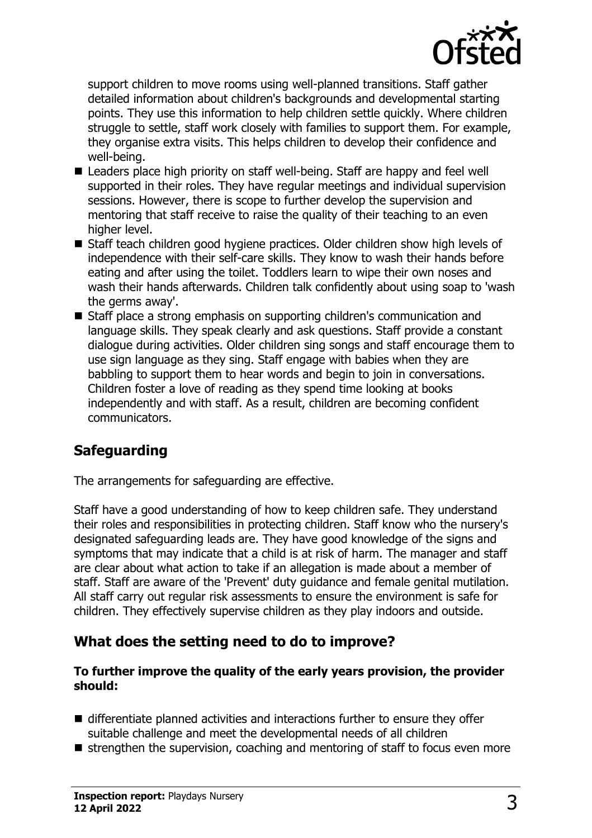

support children to move rooms using well-planned transitions. Staff gather detailed information about children's backgrounds and developmental starting points. They use this information to help children settle quickly. Where children struggle to settle, staff work closely with families to support them. For example, they organise extra visits. This helps children to develop their confidence and well-being.

- Leaders place high priority on staff well-being. Staff are happy and feel well supported in their roles. They have regular meetings and individual supervision sessions. However, there is scope to further develop the supervision and mentoring that staff receive to raise the quality of their teaching to an even higher level.
- Staff teach children good hygiene practices. Older children show high levels of independence with their self-care skills. They know to wash their hands before eating and after using the toilet. Toddlers learn to wipe their own noses and wash their hands afterwards. Children talk confidently about using soap to 'wash the germs away'.
- Staff place a strong emphasis on supporting children's communication and language skills. They speak clearly and ask questions. Staff provide a constant dialogue during activities. Older children sing songs and staff encourage them to use sign language as they sing. Staff engage with babies when they are babbling to support them to hear words and begin to join in conversations. Children foster a love of reading as they spend time looking at books independently and with staff. As a result, children are becoming confident communicators.

## **Safeguarding**

The arrangements for safeguarding are effective.

Staff have a good understanding of how to keep children safe. They understand their roles and responsibilities in protecting children. Staff know who the nursery's designated safeguarding leads are. They have good knowledge of the signs and symptoms that may indicate that a child is at risk of harm. The manager and staff are clear about what action to take if an allegation is made about a member of staff. Staff are aware of the 'Prevent' duty guidance and female genital mutilation. All staff carry out regular risk assessments to ensure the environment is safe for children. They effectively supervise children as they play indoors and outside.

## **What does the setting need to do to improve?**

#### **To further improve the quality of the early years provision, the provider should:**

- $\blacksquare$  differentiate planned activities and interactions further to ensure they offer suitable challenge and meet the developmental needs of all children
- $\blacksquare$  strengthen the supervision, coaching and mentoring of staff to focus even more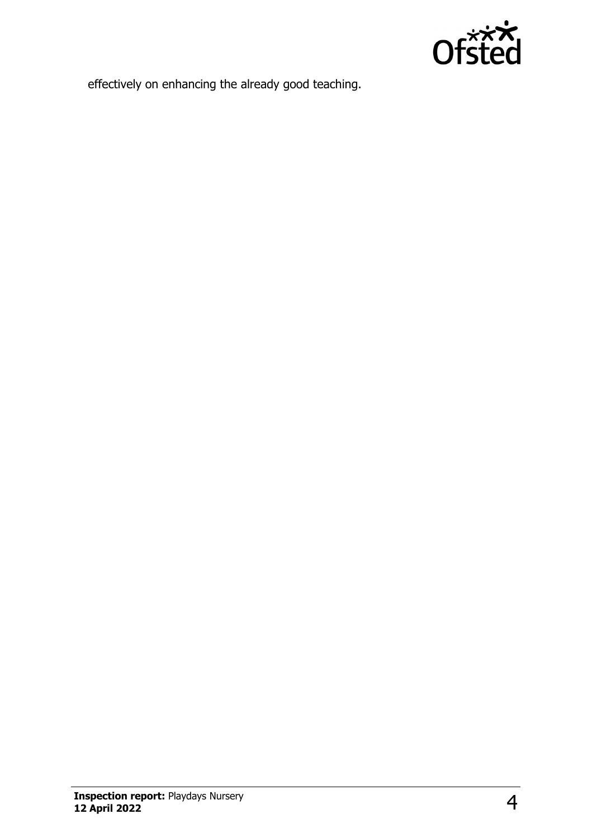

effectively on enhancing the already good teaching.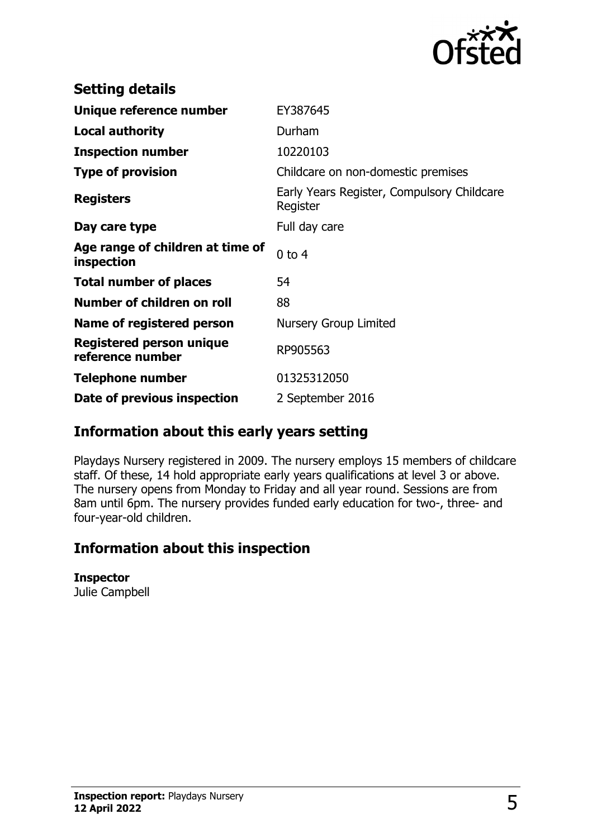

| <b>Setting details</b>                         |                                                        |
|------------------------------------------------|--------------------------------------------------------|
| Unique reference number                        | EY387645                                               |
| <b>Local authority</b>                         | Durham                                                 |
| <b>Inspection number</b>                       | 10220103                                               |
| <b>Type of provision</b>                       | Childcare on non-domestic premises                     |
| <b>Registers</b>                               | Early Years Register, Compulsory Childcare<br>Register |
| Day care type                                  | Full day care                                          |
| Age range of children at time of<br>inspection | $0$ to $4$                                             |
| <b>Total number of places</b>                  | 54                                                     |
| Number of children on roll                     | 88                                                     |
| Name of registered person                      | Nursery Group Limited                                  |
| Registered person unique<br>reference number   | RP905563                                               |
| <b>Telephone number</b>                        | 01325312050                                            |
| Date of previous inspection                    | 2 September 2016                                       |

## **Information about this early years setting**

Playdays Nursery registered in 2009. The nursery employs 15 members of childcare staff. Of these, 14 hold appropriate early years qualifications at level 3 or above. The nursery opens from Monday to Friday and all year round. Sessions are from 8am until 6pm. The nursery provides funded early education for two-, three- and four-year-old children.

## **Information about this inspection**

#### **Inspector**

Julie Campbell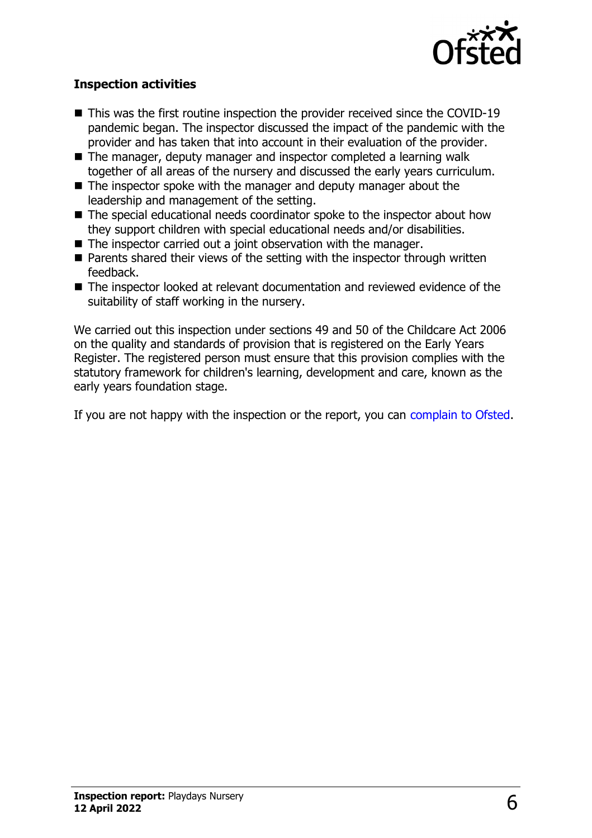

## **Inspection activities**

- $\blacksquare$  This was the first routine inspection the provider received since the COVID-19 pandemic began. The inspector discussed the impact of the pandemic with the provider and has taken that into account in their evaluation of the provider.
- The manager, deputy manager and inspector completed a learning walk together of all areas of the nursery and discussed the early years curriculum.
- $\blacksquare$  The inspector spoke with the manager and deputy manager about the leadership and management of the setting.
- $\blacksquare$  The special educational needs coordinator spoke to the inspector about how they support children with special educational needs and/or disabilities.
- $\blacksquare$  The inspector carried out a joint observation with the manager.
- $\blacksquare$  Parents shared their views of the setting with the inspector through written feedback.
- $\blacksquare$  The inspector looked at relevant documentation and reviewed evidence of the suitability of staff working in the nursery.

We carried out this inspection under sections 49 and 50 of the Childcare Act 2006 on the quality and standards of provision that is registered on the Early Years Register. The registered person must ensure that this provision complies with the statutory framework for children's learning, development and care, known as the early years foundation stage.

If you are not happy with the inspection or the report, you can [complain to Ofsted](http://www.gov.uk/complain-ofsted-report).